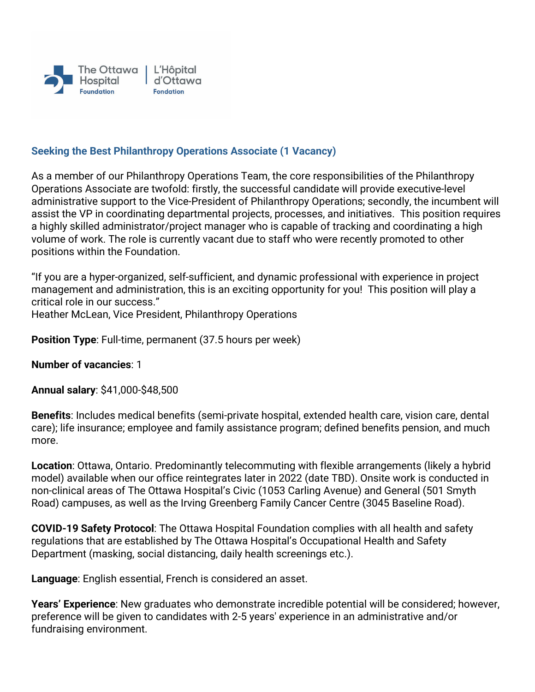

## **Seeking the Best Philanthropy Operations Associate (1 Vacancy)**

As a member of our Philanthropy Operations Team, the core responsibilities of the Philanthropy Operations Associate are twofold: firstly, the successful candidate will provide executive-level administrative support to the Vice-President of Philanthropy Operations; secondly, the incumbent will assist the VP in coordinating departmental projects, processes, and initiatives. This position requires a highly skilled administrator/project manager who is capable of tracking and coordinating a high volume of work. The role is currently vacant due to staff who were recently promoted to other positions within the Foundation.

"If you are a hyper-organized, self-sufficient, and dynamic professional with experience in project management and administration, this is an exciting opportunity for you! This position will play a critical role in our success."

Heather McLean, Vice President, Philanthropy Operations

**Position Type**: Full-time, permanent (37.5 hours per week)

#### **Number of vacancies**: 1

**Annual salary**: \$41,000-\$48,500

**Benefits**: Includes medical benefits (semi-private hospital, extended health care, vision care, dental care); life insurance; employee and family assistance program; defined benefits pension, and much more.

**Location**: Ottawa, Ontario. Predominantly telecommuting with flexible arrangements (likely a hybrid model) available when our office reintegrates later in 2022 (date TBD). Onsite work is conducted in non-clinical areas of The Ottawa Hospital's Civic (1053 Carling Avenue) and General (501 Smyth Road) campuses, as well as the Irving Greenberg Family Cancer Centre (3045 Baseline Road).

**COVID-19 Safety Protocol**: The Ottawa Hospital Foundation complies with all health and safety regulations that are established by The Ottawa Hospital's Occupational Health and Safety Department (masking, social distancing, daily health screenings etc.).

**Language**: English essential, French is considered an asset.

**Years' Experience**: New graduates who demonstrate incredible potential will be considered; however, preference will be given to candidates with 2-5 years' experience in an administrative and/or fundraising environment.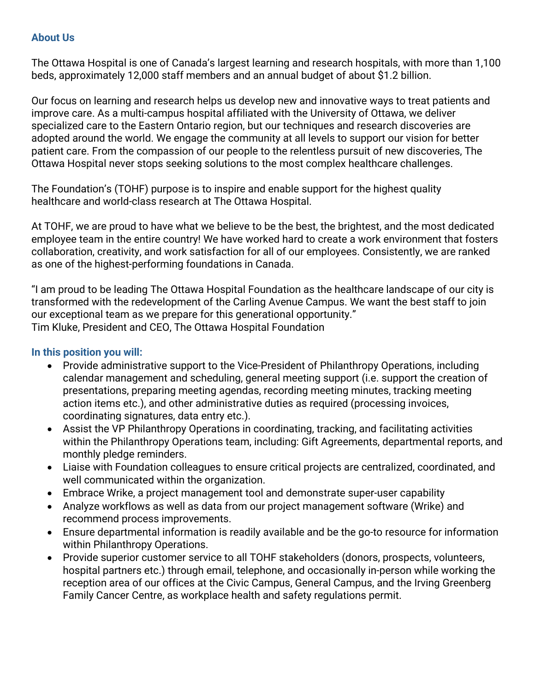# **About Us**

The Ottawa Hospital is one of Canada's largest learning and research hospitals, with more than 1,100 beds, approximately 12,000 staff members and an annual budget of about \$1.2 billion.

Our focus on learning and research helps us develop new and innovative ways to treat patients and improve care. As a multi-campus hospital affiliated with the University of Ottawa, we deliver specialized care to the Eastern Ontario region, but our techniques and research discoveries are adopted around the world. We engage the community at all levels to support our vision for better patient care. From the compassion of our people to the relentless pursuit of new discoveries, The Ottawa Hospital never stops seeking solutions to the most complex healthcare challenges.

The Foundation's (TOHF) purpose is to inspire and enable support for the highest quality healthcare and world-class research at The Ottawa Hospital.

At TOHF, we are proud to have what we believe to be the best, the brightest, and the most dedicated employee team in the entire country! We have worked hard to create a work environment that fosters collaboration, creativity, and work satisfaction for all of our employees. Consistently, we are ranked as one of the highest-performing foundations in Canada.

"I am proud to be leading The Ottawa Hospital Foundation as the healthcare landscape of our city is transformed with the redevelopment of the Carling Avenue Campus. We want the best staff to join our exceptional team as we prepare for this generational opportunity." Tim Kluke, President and CEO, The Ottawa Hospital Foundation

### **In this position you will:**

- Provide administrative support to the Vice-President of Philanthropy Operations, including calendar management and scheduling, general meeting support (i.e. support the creation of presentations, preparing meeting agendas, recording meeting minutes, tracking meeting action items etc.), and other administrative duties as required (processing invoices, coordinating signatures, data entry etc.).
- Assist the VP Philanthropy Operations in coordinating, tracking, and facilitating activities within the Philanthropy Operations team, including: Gift Agreements, departmental reports, and monthly pledge reminders.
- Liaise with Foundation colleagues to ensure critical projects are centralized, coordinated, and well communicated within the organization.
- Embrace Wrike, a project management tool and demonstrate super-user capability
- Analyze workflows as well as data from our project management software (Wrike) and recommend process improvements.
- Ensure departmental information is readily available and be the go-to resource for information within Philanthropy Operations.
- Provide superior customer service to all TOHF stakeholders (donors, prospects, volunteers, hospital partners etc.) through email, telephone, and occasionally in-person while working the reception area of our offices at the Civic Campus, General Campus, and the Irving Greenberg Family Cancer Centre, as workplace health and safety regulations permit.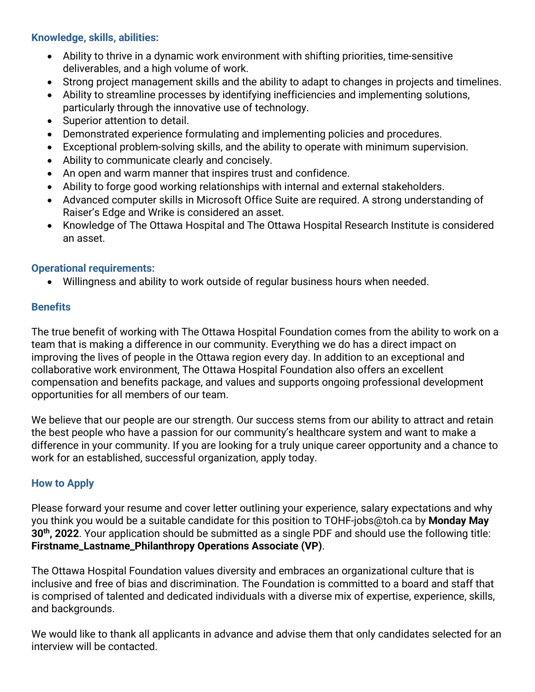### **Knowledge, skills, abilities:**

- Ability to thrive in a dynamic work environment with shifting priorities, time-sensitive deliverables, and a high volume of work.
- Strong project management skills and the ability to adapt to changes in projects and timelines.
- Ability to streamline processes by identifying inefficiencies and implementing solutions, particularly through the innovative use of technology.
- Superior attention to detail.
- Demonstrated experience formulating and implementing policies and procedures.
- Exceptional problem-solving skills, and the ability to operate with minimum supervision.
- Ability to communicate clearly and concisely.
- An open and warm manner that inspires trust and confidence.
- Ability to forge good working relationships with internal and external stakeholders.
- Advanced computer skills in Microsoft Office Suite are required. A strong understanding of Raiser's Edge and Wrike is considered an asset.
- Knowledge of The Ottawa Hospital and The Ottawa Hospital Research Institute is considered an asset.

### **Operational requirements:**

• Willingness and ability to work outside of regular business hours when needed.

# **Benefits**

The true benefit of working with The Ottawa Hospital Foundation comes from the ability to work on a team that is making a difference in our community. Everything we do has a direct impact on improving the lives of people in the Ottawa region every day. In addition to an exceptional and collaborative work environment, The Ottawa Hospital Foundation also offers an excellent compensation and benefits package, and values and supports ongoing professional development opportunities for all members of our team.

We believe that our people are our strength. Our success stems from our ability to attract and retain the best people who have a passion for our community's healthcare system and want to make a difference in your community. If you are looking for a truly unique career opportunity and a chance to work for an established, successful organization, apply today.

# **How to Apply**

Please forward your resume and cover letter outlining your experience, salary expectations and why you think you would be a suitable candidate for this position to TOHF-jobs@toh.ca by **Monday May 30th, 2022**. Your application should be submitted as a single PDF and should use the following title: **Firstname\_Lastname\_Philanthropy Operations Associate (VP)**.

The Ottawa Hospital Foundation values diversity and embraces an organizational culture that is inclusive and free of bias and discrimination. The Foundation is committed to a board and staff that is comprised of talented and dedicated individuals with a diverse mix of expertise, experience, skills, and backgrounds.

We would like to thank all applicants in advance and advise them that only candidates selected for an interview will be contacted.